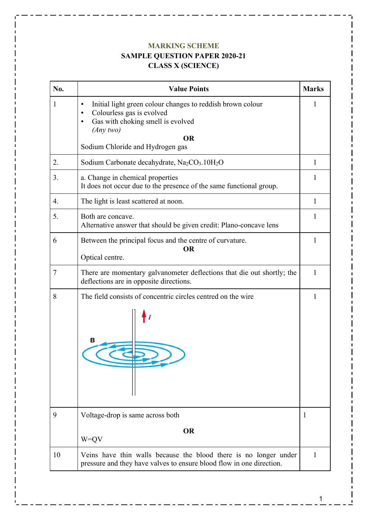## **MARKING SCHEME**

## **SAMPLE QUESTION PAPER 2020-21 CLASS X (SCIENCE)**

| No. | <b>Value Points</b>                                                                                                                                                                                                  | <b>Marks</b> |  |  |
|-----|----------------------------------------------------------------------------------------------------------------------------------------------------------------------------------------------------------------------|--------------|--|--|
| 1   | Initial light green colour changes to reddish brown colour<br>$\bullet$<br>Colourless gas is evolved<br>Gas with choking smell is evolved<br>$\bullet$<br>(Any two)<br><b>OR</b><br>Sodium Chloride and Hydrogen gas | 1            |  |  |
| 2.  | Sodium Carbonate decahydrate, Na <sub>2</sub> CO <sub>3</sub> .10H <sub>2</sub> O                                                                                                                                    |              |  |  |
| 3.  | a. Change in chemical properties<br>It does not occur due to the presence of the same functional group.                                                                                                              |              |  |  |
| 4.  | The light is least scattered at noon.                                                                                                                                                                                |              |  |  |
| 5.  | Both are concave.<br>Alternative answer that should be given credit: Plano-concave lens                                                                                                                              |              |  |  |
| 6   | Between the principal focus and the centre of curvature.<br><b>OR</b><br>Optical centre.                                                                                                                             |              |  |  |
| 7   | There are momentary galvanometer deflections that die out shortly; the<br>deflections are in opposite directions.                                                                                                    |              |  |  |
| 8   | The field consists of concentric circles centred on the wire<br>в                                                                                                                                                    | 1            |  |  |
| 9   | Voltage-drop is same across both<br><b>OR</b><br>$W = QV$                                                                                                                                                            | $\mathbf{I}$ |  |  |
| 10  | Veins have thin walls because the blood there is no longer under<br>pressure and they have valves to ensure blood flow in one direction.                                                                             | 1            |  |  |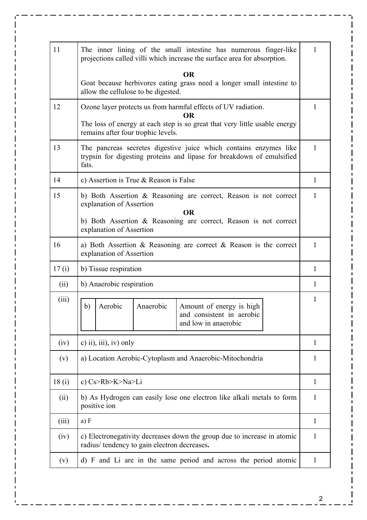| 11    | The inner lining of the small intestine has numerous finger-like<br>projections called villi which increase the surface area for absorption.        |              |  |  |  |
|-------|-----------------------------------------------------------------------------------------------------------------------------------------------------|--------------|--|--|--|
|       | <b>OR</b>                                                                                                                                           |              |  |  |  |
|       | Goat because herbivores eating grass need a longer small intestine to<br>allow the cellulose to be digested.                                        |              |  |  |  |
| 12    | Ozone layer protects us from harmful effects of UV radiation.<br>ОR                                                                                 |              |  |  |  |
|       | The loss of energy at each step is so great that very little usable energy<br>remains after four trophic levels.                                    |              |  |  |  |
| 13    | The pancreas secretes digestive juice which contains enzymes like<br>trypsin for digesting proteins and lipase for breakdown of emulsified<br>fats. |              |  |  |  |
| 14    | c) Assertion is True & Reason is False                                                                                                              |              |  |  |  |
| 15    | b) Both Assertion & Reasoning are correct, Reason is not correct<br>explanation of Assertion                                                        |              |  |  |  |
|       | <b>OR</b><br>b) Both Assertion & Reasoning are correct, Reason is not correct<br>explanation of Assertion                                           |              |  |  |  |
| 16    | a) Both Assertion & Reasoning are correct & Reason is the correct<br>explanation of Assertion                                                       |              |  |  |  |
| 17(i) | b) Tissue respiration                                                                                                                               |              |  |  |  |
| (ii)  | b) Anaerobic respiration                                                                                                                            |              |  |  |  |
| (iii) | Aerobic<br>b)<br>Anaerobic<br>Amount of energy is high<br>and consistent in aerobic<br>and low in anaerobic                                         | $\mathbf{1}$ |  |  |  |
| (iv)  | c) ii), iii), iv) only                                                                                                                              | 1            |  |  |  |
| (v)   | a) Location Aerobic-Cytoplasm and Anaerobic-Mitochondria                                                                                            |              |  |  |  |
| 18(i) | c) Cs>Rb>K>Na>Li                                                                                                                                    |              |  |  |  |
| (ii)  | b) As Hydrogen can easily lose one electron like alkali metals to form<br>positive ion                                                              |              |  |  |  |
| (iii) | a) F                                                                                                                                                |              |  |  |  |
| (iv)  | c) Electronegativity decreases down the group due to increase in atomic<br>radius/ tendency to gain electron decreases.                             |              |  |  |  |
| (v)   | d) F and Li are in the same period and across the period atomic                                                                                     |              |  |  |  |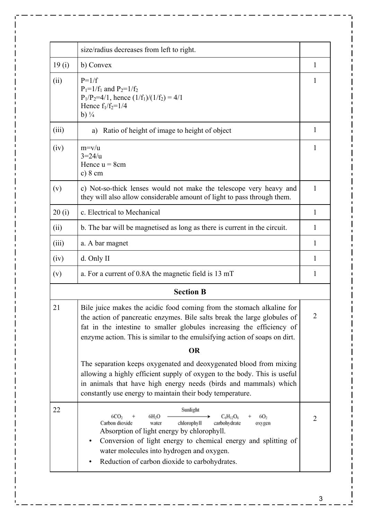|       | size/radius decreases from left to right.                                                                                                                                                                                                                                                                                                       |   |  |  |
|-------|-------------------------------------------------------------------------------------------------------------------------------------------------------------------------------------------------------------------------------------------------------------------------------------------------------------------------------------------------|---|--|--|
| 19(i) | b) Convex                                                                                                                                                                                                                                                                                                                                       | 1 |  |  |
| (ii)  | $P=1/f$<br>$P_1 = 1/f_1$ and $P_2 = 1/f_2$<br>$P_1/P_2 = 4/1$ , hence $(1/f_1)/(1/f_2) = 4/1$<br>Hence $f_1/f_2 = 1/4$<br>b) $\frac{1}{4}$                                                                                                                                                                                                      |   |  |  |
| (iii) | Ratio of height of image to height of object<br>a)                                                                                                                                                                                                                                                                                              |   |  |  |
| (iv)  | $m=v/u$<br>$3 = 24/u$<br>Hence $u = 8$ cm<br>c) 8 cm                                                                                                                                                                                                                                                                                            |   |  |  |
| (v)   | c) Not-so-thick lenses would not make the telescope very heavy and<br>they will also allow considerable amount of light to pass through them.                                                                                                                                                                                                   |   |  |  |
| 20(i) | c. Electrical to Mechanical                                                                                                                                                                                                                                                                                                                     | 1 |  |  |
| (ii)  | b. The bar will be magnetised as long as there is current in the circuit.                                                                                                                                                                                                                                                                       | 1 |  |  |
| (iii) | a. A bar magnet                                                                                                                                                                                                                                                                                                                                 | 1 |  |  |
| (iv)  | d. Only II                                                                                                                                                                                                                                                                                                                                      | 1 |  |  |
| (v)   | a. For a current of 0.8A the magnetic field is 13 mT                                                                                                                                                                                                                                                                                            | 1 |  |  |
|       | <b>Section B</b>                                                                                                                                                                                                                                                                                                                                |   |  |  |
| 21    | Bile juice makes the acidic food coming from the stomach alkaline for<br>the action of pancreatic enzymes. Bile salts break the large globules of<br>fat in the intestine to smaller globules increasing the efficiency of<br>enzyme action. This is similar to the emulsifying action of soaps on dirt.<br><b>OR</b>                           |   |  |  |
|       | The separation keeps oxygenated and deoxygenated blood from mixing<br>allowing a highly efficient supply of oxygen to the body. This is useful<br>in animals that have high energy needs (birds and mammals) which<br>constantly use energy to maintain their body temperature.                                                                 |   |  |  |
| 22    | Sunlight<br>6CO <sub>2</sub><br>6H,O<br>$C_6H_{12}O_6$<br>60,<br>Carbon dioxide<br>chlorophyll<br>carbohydrate<br>water<br>oxygen<br>Absorption of light energy by chlorophyll.<br>Conversion of light energy to chemical energy and splitting of<br>water molecules into hydrogen and oxygen.<br>Reduction of carbon dioxide to carbohydrates. | 2 |  |  |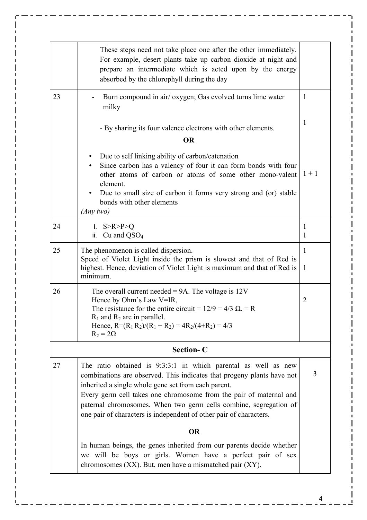|           | These steps need not take place one after the other immediately.<br>For example, desert plants take up carbon dioxide at night and<br>prepare an intermediate which is acted upon by the energy<br>absorbed by the chlorophyll during the day                                                                                                                                                                    |                              |  |  |
|-----------|------------------------------------------------------------------------------------------------------------------------------------------------------------------------------------------------------------------------------------------------------------------------------------------------------------------------------------------------------------------------------------------------------------------|------------------------------|--|--|
| 23        | Burn compound in air/ oxygen; Gas evolved turns lime water<br>milky                                                                                                                                                                                                                                                                                                                                              | $\mathbf{1}$                 |  |  |
|           | - By sharing its four valence electrons with other elements.<br><b>OR</b>                                                                                                                                                                                                                                                                                                                                        |                              |  |  |
|           | Due to self linking ability of carbon/catenation<br>Since carbon has a valency of four it can form bonds with four<br>other atoms of carbon or atoms of some other mono-valent<br>element.<br>Due to small size of carbon it forms very strong and (or) stable<br>bonds with other elements<br>(Any two)                                                                                                         | $1 + 1$                      |  |  |
| 24        | i. $S > R > P > Q$<br>Cu and $QSO4$<br>ii.                                                                                                                                                                                                                                                                                                                                                                       | $\mathbf{1}$<br>$\mathbf{1}$ |  |  |
| 25        | The phenomenon is called dispersion.<br>Speed of Violet Light inside the prism is slowest and that of Red is<br>highest. Hence, deviation of Violet Light is maximum and that of Red is<br>minimum.                                                                                                                                                                                                              |                              |  |  |
| 26        | The overall current needed = $9A$ . The voltage is 12V<br>Hence by Ohm's Law V=IR,<br>The resistance for the entire circuit = $12/9 = 4/3 \Omega$ . = R<br>$R_1$ and $R_2$ are in parallel.<br>Hence, $R = (R_1 R_2)/(R_1 + R_2) = 4R_2/(4+R_2) = 4/3$<br>$R_2 = 2\Omega$                                                                                                                                        |                              |  |  |
|           | <b>Section-C</b>                                                                                                                                                                                                                                                                                                                                                                                                 |                              |  |  |
| 27        | The ratio obtained is 9:3:3:1 in which parental as well as new<br>combinations are observed. This indicates that progeny plants have not<br>inherited a single whole gene set from each parent.<br>Every germ cell takes one chromosome from the pair of maternal and<br>paternal chromosomes. When two germ cells combine, segregation of<br>one pair of characters is independent of other pair of characters. | 3                            |  |  |
| <b>OR</b> |                                                                                                                                                                                                                                                                                                                                                                                                                  |                              |  |  |
|           | In human beings, the genes inherited from our parents decide whether<br>we will be boys or girls. Women have a perfect pair of sex<br>chromosomes (XX). But, men have a mismatched pair (XY).                                                                                                                                                                                                                    |                              |  |  |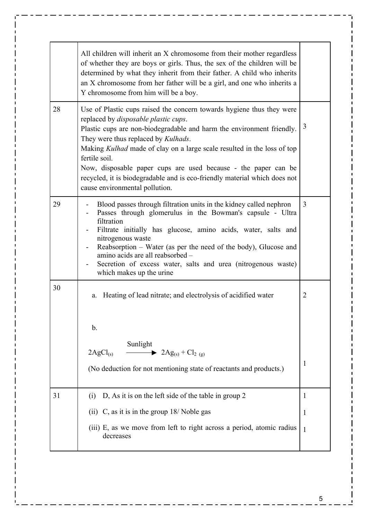|    | All children will inherit an X chromosome from their mother regardless<br>of whether they are boys or girls. Thus, the sex of the children will be<br>determined by what they inherit from their father. A child who inherits<br>an X chromosome from her father will be a girl, and one who inherits a<br>Y chromosome from him will be a boy.                                                                                                                                                                    |                     |
|----|--------------------------------------------------------------------------------------------------------------------------------------------------------------------------------------------------------------------------------------------------------------------------------------------------------------------------------------------------------------------------------------------------------------------------------------------------------------------------------------------------------------------|---------------------|
| 28 | Use of Plastic cups raised the concern towards hygiene thus they were<br>replaced by <i>disposable plastic cups</i> .<br>Plastic cups are non-biodegradable and harm the environment friendly.<br>They were thus replaced by Kulhads.<br>Making Kulhad made of clay on a large scale resulted in the loss of top<br>fertile soil.<br>Now, disposable paper cups are used because - the paper can be<br>recycled, it is biodegradable and is eco-friendly material which does not<br>cause environmental pollution. | 3                   |
| 29 | Blood passes through filtration units in the kidney called nephron<br>Passes through glomerulus in the Bowman's capsule - Ultra<br>filtration<br>Filtrate initially has glucose, amino acids, water, salts and<br>nitrogenous waste<br>Reabsorption – Water (as per the need of the body), Glucose and<br>amino acids are all reabsorbed -<br>Secretion of excess water, salts and urea (nitrogenous waste)<br>which makes up the urine                                                                            | 3                   |
| 30 | a. Heating of lead nitrate; and electrolysis of acidified water<br>b.<br>Sunlight<br>$\blacktriangleright$ 2Ag <sub>(s)</sub> + Cl <sub>2 (g)</sub><br>2AgCl <sub>(s)</sub><br>(No deduction for not mentioning state of reactants and products.)                                                                                                                                                                                                                                                                  | $\overline{2}$<br>1 |
| 31 | D, As it is on the left side of the table in group 2<br>(i)<br>(ii) $C$ , as it is in the group 18/ Noble gas<br>(iii) E, as we move from left to right across a period, atomic radius<br>decreases                                                                                                                                                                                                                                                                                                                | 1<br>1<br>1         |
|    |                                                                                                                                                                                                                                                                                                                                                                                                                                                                                                                    |                     |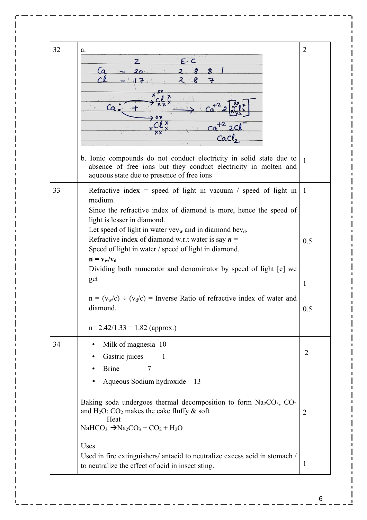| 32 | a.<br>$E \cdot C$                                                                                                                                                                    | $\overline{2}$ |  |  |  |
|----|--------------------------------------------------------------------------------------------------------------------------------------------------------------------------------------|----------------|--|--|--|
|    | 8<br>8                                                                                                                                                                               |                |  |  |  |
|    |                                                                                                                                                                                      |                |  |  |  |
|    |                                                                                                                                                                                      |                |  |  |  |
|    |                                                                                                                                                                                      |                |  |  |  |
|    |                                                                                                                                                                                      |                |  |  |  |
|    |                                                                                                                                                                                      |                |  |  |  |
|    | b. Ionic compounds do not conduct electricity in solid state due to<br>absence of free ions but they conduct electricity in molten and<br>aqueous state due to presence of free ions | $\overline{1}$ |  |  |  |
| 33 | Refractive index = speed of light in vacuum / speed of light in   1<br>medium.                                                                                                       |                |  |  |  |
|    | Since the refractive index of diamond is more, hence the speed of<br>light is lesser in diamond.                                                                                     |                |  |  |  |
|    | Let speed of light in water $vev_w$ and in diamond bev <sub>d</sub> .                                                                                                                |                |  |  |  |
|    | Refractive index of diamond w.r.t water is say $n =$                                                                                                                                 |                |  |  |  |
|    | Speed of light in water / speed of light in diamond.<br>$\mathbf{n} = \mathbf{v}_{\mathbf{w}} / \mathbf{v}_{\mathbf{d}}$                                                             |                |  |  |  |
|    | Dividing both numerator and denominator by speed of light [c] we<br>get                                                                                                              |                |  |  |  |
|    | $n = (v_w/c) \div (v_d/c) =$ Inverse Ratio of refractive index of water and<br>diamond.                                                                                              | 0.5            |  |  |  |
|    | $n= 2.42/1.33 = 1.82$ (approx.)                                                                                                                                                      |                |  |  |  |
| 34 | Milk of magnesia 10<br>٠                                                                                                                                                             |                |  |  |  |
|    | Gastric juices<br>-1                                                                                                                                                                 | $\overline{2}$ |  |  |  |
|    | <b>Brine</b><br>7                                                                                                                                                                    |                |  |  |  |
|    | Aqueous Sodium hydroxide<br>13                                                                                                                                                       |                |  |  |  |
|    | Baking soda undergoes thermal decomposition to form $Na2CO3$ , $CO2$                                                                                                                 |                |  |  |  |
|    | and $H_2O$ ; $CO_2$ makes the cake fluffy & soft                                                                                                                                     |                |  |  |  |
|    | Heat<br>NaHCO <sub>3</sub> $\rightarrow$ Na <sub>2</sub> CO <sub>3</sub> + CO <sub>2</sub> + H <sub>2</sub> O                                                                        |                |  |  |  |
|    | Uses                                                                                                                                                                                 |                |  |  |  |
|    | Used in fire extinguishers/ antacid to neutralize excess acid in stomach /                                                                                                           |                |  |  |  |
|    | to neutralize the effect of acid in insect sting.                                                                                                                                    | $\mathbf{1}$   |  |  |  |

6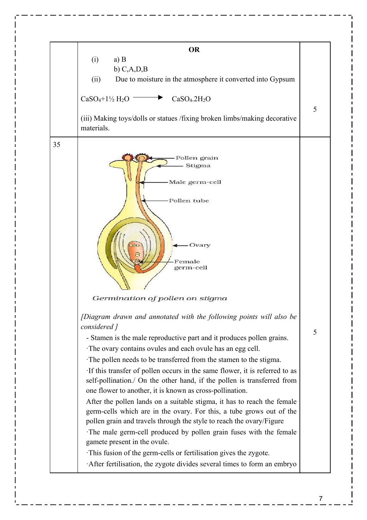

7